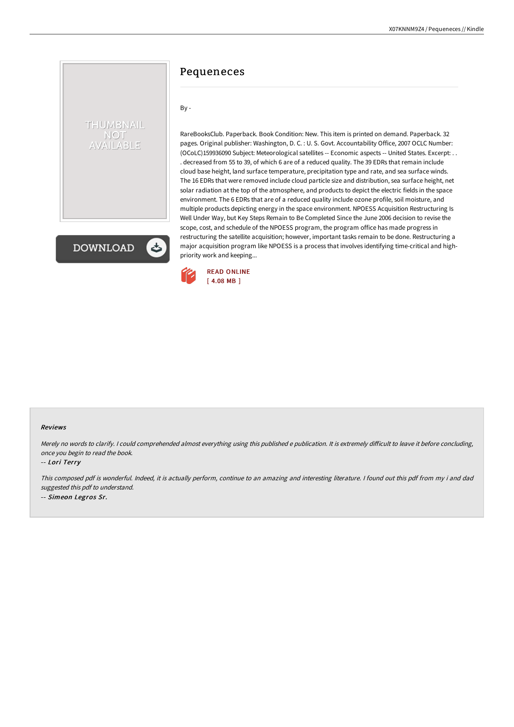# THUMBNAIL **NOT** AVAILABLE

**DOWNLOAD** 

# Pequeneces

#### By -

RareBooksClub. Paperback. Book Condition: New. This item is printed on demand. Paperback. 32 pages. Original publisher: Washington, D. C. : U. S. Govt. Accountability Office, 2007 OCLC Number: (OCoLC)159936090 Subject: Meteorological satellites -- Economic aspects -- United States. Excerpt: . . . decreased from 55 to 39, of which 6 are of a reduced quality. The 39 EDRs that remain include cloud base height, land surface temperature, precipitation type and rate, and sea surface winds. The 16 EDRs that were removed include cloud particle size and distribution, sea surface height, net solar radiation at the top of the atmosphere, and products to depict the electric fields in the space environment. The 6 EDRs that are of a reduced quality include ozone profile, soil moisture, and multiple products depicting energy in the space environment. NPOESS Acquisition Restructuring Is Well Under Way, but Key Steps Remain to Be Completed Since the June 2006 decision to revise the scope, cost, and schedule of the NPOESS program, the program office has made progress in restructuring the satellite acquisition; however, important tasks remain to be done. Restructuring a major acquisition program like NPOESS is a process that involves identifying time-critical and highpriority work and keeping...



#### Reviews

Merely no words to clarify. I could comprehended almost everything using this published e publication. It is extremely difficult to leave it before concluding, once you begin to read the book.

#### -- Lori Terry

This composed pdf is wonderful. Indeed, it is actually perform, continue to an amazing and interesting literature. <sup>I</sup> found out this pdf from my i and dad suggested this pdf to understand. -- Simeon Legros Sr.